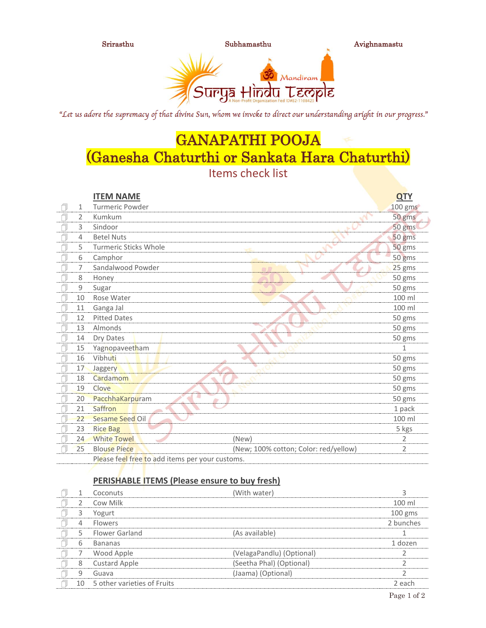

"Let us adore the supremacy of that divine Sun, whom we invoke to direct our understanding aright in our progress."

# GANAPATHI POOJA (Ganesha Chaturthi or Sankata Hara Chaturthi)

## Items check list

|   |                | <b>ITEM NAME</b>                                |                                       | <b>QTY</b>     |
|---|----------------|-------------------------------------------------|---------------------------------------|----------------|
|   | 1              | <b>Turmeric Powder</b>                          |                                       | 100 gms        |
|   | 2              | Kumkum                                          |                                       | 50 gms         |
|   | 3              | Sindoor                                         |                                       | 50 gms         |
| ı | 4              | <b>Betel Nuts</b>                               |                                       | 50 gms         |
|   | 5              | <b>Turmeric Sticks Whole</b>                    |                                       | 50 gms         |
|   | 6              | Camphor                                         |                                       | 50 gms         |
|   | $\overline{7}$ | Sandalwood Powder                               | 而上                                    | 25 gms         |
| ī | 8              | Honey                                           |                                       | 50 gms         |
|   | 9              | Sugar                                           |                                       | 50 gms         |
|   | 10             | Rose Water                                      |                                       | 100 ml         |
|   | 11             | Ganga Jal                                       |                                       | 100 ml         |
|   | 12             | <b>Pitted Dates</b>                             |                                       | 50 gms         |
|   | 13             | Almonds                                         |                                       | 50 gms         |
|   | 14             | Dry Dates                                       |                                       | 50 gms         |
| 7 | 15             | Yagnopaveetham                                  |                                       | 1              |
|   | 16             | Vibhuti                                         |                                       | 50 gms         |
|   | 17             | Jaggery                                         |                                       | 50 gms         |
|   | 18             | Cardamom                                        |                                       | 50 gms         |
|   | 19             | Clove                                           |                                       | 50 gms         |
|   | 20             | a a<br>PacchhaKarpuram                          |                                       | 50 gms         |
|   | 21             | Saffron                                         |                                       | 1 pack         |
|   | 22             | <b>Sesame Seed Oil</b>                          |                                       | 100 ml         |
|   | 23             | <b>Rice Bag</b>                                 |                                       | 5 kgs          |
|   | 24             | <b>White Towel</b>                              | (New)                                 | $\overline{2}$ |
|   | 25             | <b>Blouse Piece</b>                             | (New; 100% cotton; Color: red/yellow) | $\overline{2}$ |
|   |                | Please feel free to add items per your customs. |                                       |                |

## **PERISHABLE ITEMS (Please ensure to buy fresh)**

|    | Coconuts                    | (With water)              |           |
|----|-----------------------------|---------------------------|-----------|
|    | Cow Milk                    |                           | 100 ml    |
|    | Yogurt                      |                           | $100$ gms |
| 4  | <b>Flowers</b>              |                           | 2 bunches |
|    | Flower Garland              | (As available)            |           |
| 6  | <b>Bananas</b>              |                           | 1 dozen   |
|    | Wood Apple                  | (VelagaPandlu) (Optional) |           |
| 8  | <b>Custard Apple</b>        | (Seetha Phal) (Optional)  |           |
| 9  | Guava                       | (Jaama) (Optional)        |           |
| 10 | 5 other varieties of Fruits |                           | 2 each    |